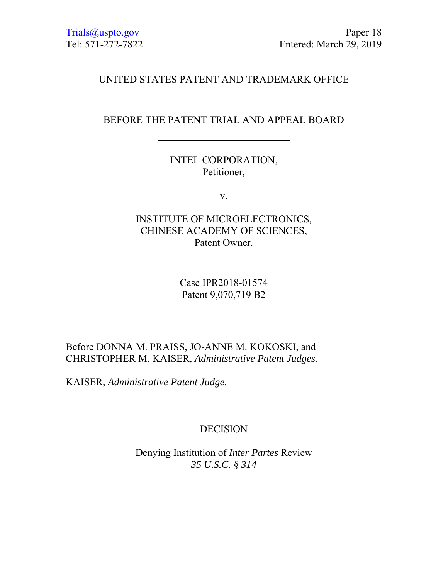# UNITED STATES PATENT AND TRADEMARK OFFICE

# BEFORE THE PATENT TRIAL AND APPEAL BOARD

INTEL CORPORATION, Petitioner,

v.

INSTITUTE OF MICROELECTRONICS, CHINESE ACADEMY OF SCIENCES, Patent Owner.

> Case IPR2018-01574 Patent 9,070,719 B2

Before DONNA M. PRAISS, JO-ANNE M. KOKOSKI, and CHRISTOPHER M. KAISER, *Administrative Patent Judges.* 

KAISER, *Administrative Patent Judge*.

# DECISION

Denying Institution of *Inter Partes* Review *35 U.S.C. § 314*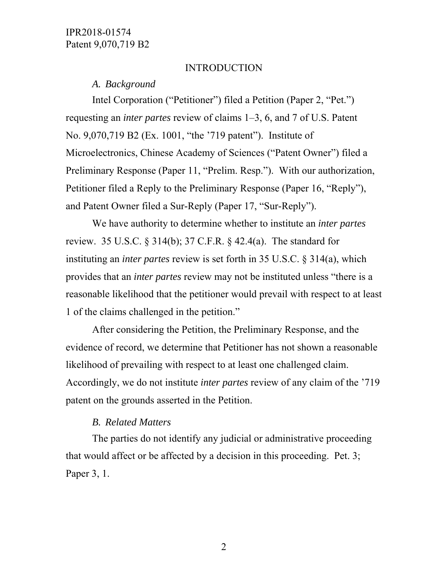#### INTRODUCTION

*A. Background* 

Intel Corporation ("Petitioner") filed a Petition (Paper 2, "Pet.") requesting an *inter partes* review of claims 1–3, 6, and 7 of U.S. Patent No. 9,070,719 B2 (Ex. 1001, "the '719 patent"). Institute of Microelectronics, Chinese Academy of Sciences ("Patent Owner") filed a Preliminary Response (Paper 11, "Prelim. Resp."). With our authorization, Petitioner filed a Reply to the Preliminary Response (Paper 16, "Reply"), and Patent Owner filed a Sur-Reply (Paper 17, "Sur-Reply").

We have authority to determine whether to institute an *inter partes* review. 35 U.S.C. § 314(b); 37 C.F.R. § 42.4(a). The standard for instituting an *inter partes* review is set forth in 35 U.S.C. § 314(a), which provides that an *inter partes* review may not be instituted unless "there is a reasonable likelihood that the petitioner would prevail with respect to at least 1 of the claims challenged in the petition."

After considering the Petition, the Preliminary Response, and the evidence of record, we determine that Petitioner has not shown a reasonable likelihood of prevailing with respect to at least one challenged claim. Accordingly, we do not institute *inter partes* review of any claim of the '719 patent on the grounds asserted in the Petition.

#### *B. Related Matters*

The parties do not identify any judicial or administrative proceeding that would affect or be affected by a decision in this proceeding. Pet. 3; Paper 3, 1.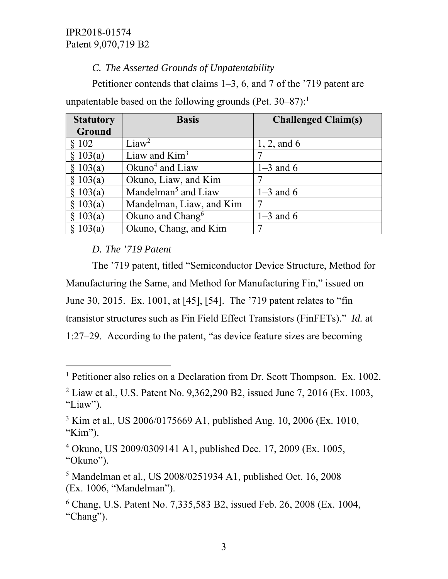# *C. The Asserted Grounds of Unpatentability*

Petitioner contends that claims 1–3, 6, and 7 of the '719 patent are unpatentable based on the following grounds (Pet.  $30-87$ ):<sup>1</sup>

| <b>Statutory</b> | <b>Basis</b>                    | <b>Challenged Claim(s)</b> |
|------------------|---------------------------------|----------------------------|
| Ground           |                                 |                            |
| \$102            | Liaw <sup>2</sup>               | 1, 2, and $6$              |
| \$103(a)         | Liaw and $Kim3$                 |                            |
| \$103(a)         | Okuno <sup>4</sup> and Liaw     | $1-3$ and 6                |
| \$103(a)         | Okuno, Liaw, and Kim            | 7                          |
| \$103(a)         | Mandelman <sup>5</sup> and Liaw | $1-3$ and 6                |
| \$103(a)         | Mandelman, Liaw, and Kim        |                            |
| \$103(a)         | Okuno and Chang $6$             | $1-3$ and 6                |
| 103(a)           | Okuno, Chang, and Kim           |                            |

# *D. The '719 Patent*

 $\overline{a}$ 

The '719 patent, titled "Semiconductor Device Structure, Method for Manufacturing the Same, and Method for Manufacturing Fin," issued on June 30, 2015. Ex. 1001, at [45], [54]. The '719 patent relates to "fin transistor structures such as Fin Field Effect Transistors (FinFETs)." *Id.* at 1:27–29. According to the patent, "as device feature sizes are becoming

<sup>&</sup>lt;sup>1</sup> Petitioner also relies on a Declaration from Dr. Scott Thompson. Ex. 1002.

<sup>&</sup>lt;sup>2</sup> Liaw et al., U.S. Patent No. 9,362,290 B2, issued June 7, 2016 (Ex. 1003, "Liaw").

<sup>&</sup>lt;sup>3</sup> Kim et al., US 2006/0175669 A1, published Aug. 10, 2006 (Ex. 1010, "Kim").

<sup>4</sup> Okuno, US 2009/0309141 A1, published Dec. 17, 2009 (Ex. 1005, "Okuno").

<sup>5</sup> Mandelman et al., US 2008/0251934 A1, published Oct. 16, 2008 (Ex. 1006, "Mandelman").

<sup>6</sup> Chang, U.S. Patent No. 7,335,583 B2, issued Feb. 26, 2008 (Ex. 1004, "Chang").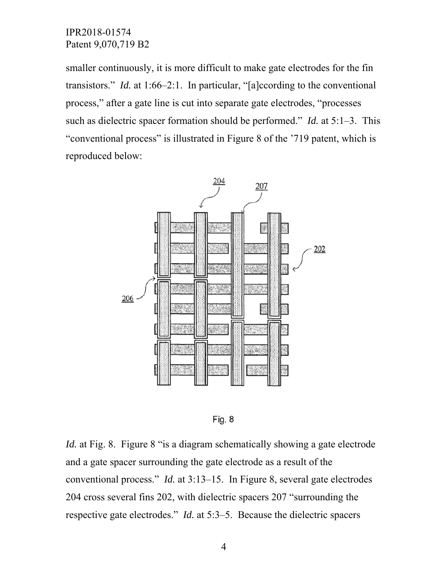smaller continuously, it is more difficult to make gate electrodes for the fin transistors." *Id.* at 1:66–2:1. In particular, "[a]ccording to the conventional process," after a gate line is cut into separate gate electrodes, "processes such as dielectric spacer formation should be performed." *Id.* at 5:1–3. This "conventional process" is illustrated in Figure 8 of the '719 patent, which is reproduced below:





*Id.* at Fig. 8. Figure 8 "is a diagram schematically showing a gate electrode and a gate spacer surrounding the gate electrode as a result of the conventional process." *Id.* at 3:13–15. In Figure 8, several gate electrodes 204 cross several fins 202, with dielectric spacers 207 "surrounding the respective gate electrodes." *Id.* at 5:3–5. Because the dielectric spacers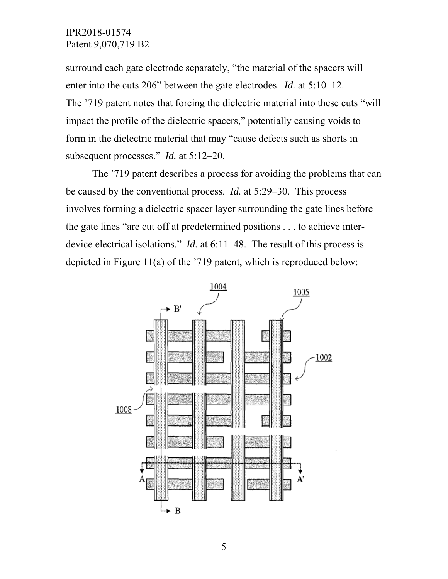surround each gate electrode separately, "the material of the spacers will enter into the cuts 206" between the gate electrodes. *Id.* at 5:10–12. The '719 patent notes that forcing the dielectric material into these cuts "will impact the profile of the dielectric spacers," potentially causing voids to form in the dielectric material that may "cause defects such as shorts in subsequent processes." *Id.* at 5:12–20.

The '719 patent describes a process for avoiding the problems that can be caused by the conventional process. *Id.* at 5:29–30. This process involves forming a dielectric spacer layer surrounding the gate lines before the gate lines "are cut off at predetermined positions . . . to achieve interdevice electrical isolations." *Id.* at 6:11–48. The result of this process is depicted in Figure 11(a) of the '719 patent, which is reproduced below:

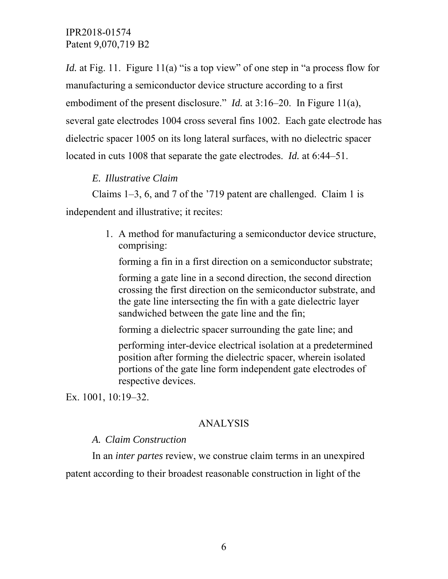*Id.* at Fig. 11. Figure 11(a) "is a top view" of one step in "a process flow for manufacturing a semiconductor device structure according to a first embodiment of the present disclosure." *Id.* at 3:16–20. In Figure 11(a), several gate electrodes 1004 cross several fins 1002. Each gate electrode has dielectric spacer 1005 on its long lateral surfaces, with no dielectric spacer located in cuts 1008 that separate the gate electrodes. *Id.* at 6:44–51.

### *E. Illustrative Claim*

Claims 1–3, 6, and 7 of the '719 patent are challenged. Claim 1 is independent and illustrative; it recites:

> 1. A method for manufacturing a semiconductor device structure, comprising:

forming a fin in a first direction on a semiconductor substrate;

forming a gate line in a second direction, the second direction crossing the first direction on the semiconductor substrate, and the gate line intersecting the fin with a gate dielectric layer sandwiched between the gate line and the fin;

forming a dielectric spacer surrounding the gate line; and

performing inter-device electrical isolation at a predetermined position after forming the dielectric spacer, wherein isolated portions of the gate line form independent gate electrodes of respective devices.

Ex. 1001, 10:19–32.

## ANALYSIS

#### *A. Claim Construction*

In an *inter partes* review, we construe claim terms in an unexpired patent according to their broadest reasonable construction in light of the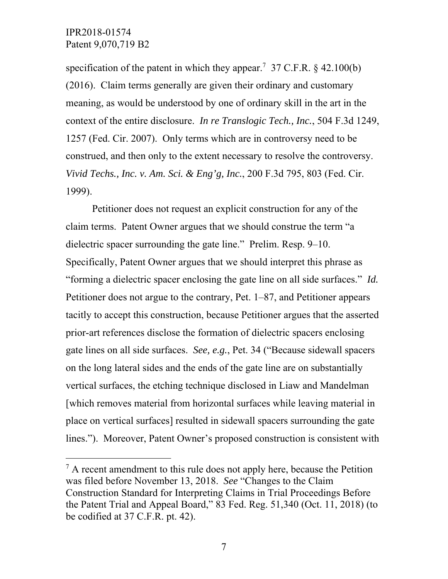l

specification of the patent in which they appear.<sup>7</sup> 37 C.F.R.  $\S$  42.100(b) (2016). Claim terms generally are given their ordinary and customary meaning, as would be understood by one of ordinary skill in the art in the context of the entire disclosure. *In re Translogic Tech., Inc.*, 504 F.3d 1249, 1257 (Fed. Cir. 2007). Only terms which are in controversy need to be construed, and then only to the extent necessary to resolve the controversy. *Vivid Techs., Inc. v. Am. Sci. & Eng'g, Inc.*, 200 F.3d 795, 803 (Fed. Cir. 1999).

Petitioner does not request an explicit construction for any of the claim terms. Patent Owner argues that we should construe the term "a dielectric spacer surrounding the gate line." Prelim. Resp. 9–10. Specifically, Patent Owner argues that we should interpret this phrase as "forming a dielectric spacer enclosing the gate line on all side surfaces." *Id.* Petitioner does not argue to the contrary, Pet. 1–87, and Petitioner appears tacitly to accept this construction, because Petitioner argues that the asserted prior-art references disclose the formation of dielectric spacers enclosing gate lines on all side surfaces. *See, e.g.*, Pet. 34 ("Because sidewall spacers on the long lateral sides and the ends of the gate line are on substantially vertical surfaces, the etching technique disclosed in Liaw and Mandelman [which removes material from horizontal surfaces while leaving material in place on vertical surfaces] resulted in sidewall spacers surrounding the gate lines."). Moreover, Patent Owner's proposed construction is consistent with

 $<sup>7</sup>$  A recent amendment to this rule does not apply here, because the Petition</sup> was filed before November 13, 2018. *See* "Changes to the Claim Construction Standard for Interpreting Claims in Trial Proceedings Before the Patent Trial and Appeal Board," 83 Fed. Reg. 51,340 (Oct. 11, 2018) (to be codified at 37 C.F.R. pt. 42).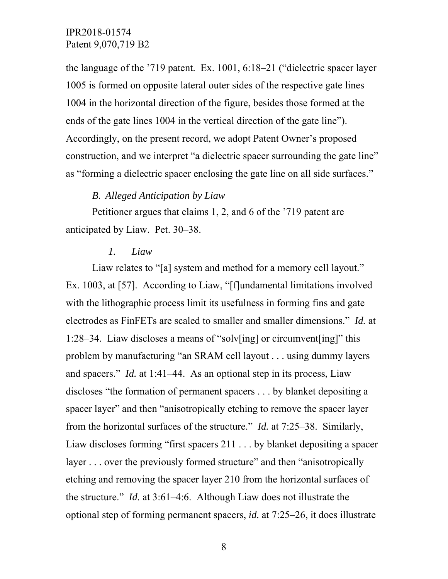the language of the '719 patent. Ex. 1001, 6:18–21 ("dielectric spacer layer 1005 is formed on opposite lateral outer sides of the respective gate lines 1004 in the horizontal direction of the figure, besides those formed at the ends of the gate lines 1004 in the vertical direction of the gate line"). Accordingly, on the present record, we adopt Patent Owner's proposed construction, and we interpret "a dielectric spacer surrounding the gate line" as "forming a dielectric spacer enclosing the gate line on all side surfaces."

#### *B. Alleged Anticipation by Liaw*

Petitioner argues that claims 1, 2, and 6 of the '719 patent are anticipated by Liaw. Pet. 30–38.

#### *1. Liaw*

Liaw relates to "[a] system and method for a memory cell layout." Ex. 1003, at [57]. According to Liaw, "[f]undamental limitations involved with the lithographic process limit its usefulness in forming fins and gate electrodes as FinFETs are scaled to smaller and smaller dimensions." *Id.* at 1:28–34. Liaw discloses a means of "solv[ing] or circumvent[ing]" this problem by manufacturing "an SRAM cell layout . . . using dummy layers and spacers." *Id.* at 1:41–44. As an optional step in its process, Liaw discloses "the formation of permanent spacers . . . by blanket depositing a spacer layer" and then "anisotropically etching to remove the spacer layer from the horizontal surfaces of the structure." *Id.* at 7:25–38. Similarly, Liaw discloses forming "first spacers 211 . . . by blanket depositing a spacer layer . . . over the previously formed structure" and then "anisotropically etching and removing the spacer layer 210 from the horizontal surfaces of the structure." *Id.* at 3:61–4:6. Although Liaw does not illustrate the optional step of forming permanent spacers, *id.* at 7:25–26, it does illustrate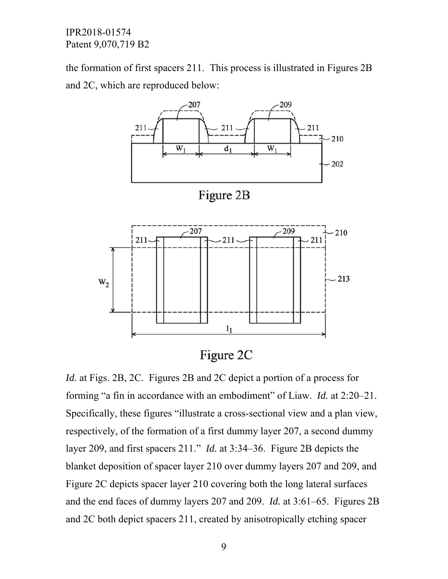the formation of first spacers 211. This process is illustrated in Figures 2B and 2C, which are reproduced below:



Figure 2C

*Id.* at Figs. 2B, 2C. Figures 2B and 2C depict a portion of a process for forming "a fin in accordance with an embodiment" of Liaw. *Id.* at 2:20–21. Specifically, these figures "illustrate a cross-sectional view and a plan view, respectively, of the formation of a first dummy layer 207, a second dummy layer 209, and first spacers 211." *Id.* at 3:34–36. Figure 2B depicts the blanket deposition of spacer layer 210 over dummy layers 207 and 209, and Figure 2C depicts spacer layer 210 covering both the long lateral surfaces and the end faces of dummy layers 207 and 209. *Id.* at 3:61–65. Figures 2B and 2C both depict spacers 211, created by anisotropically etching spacer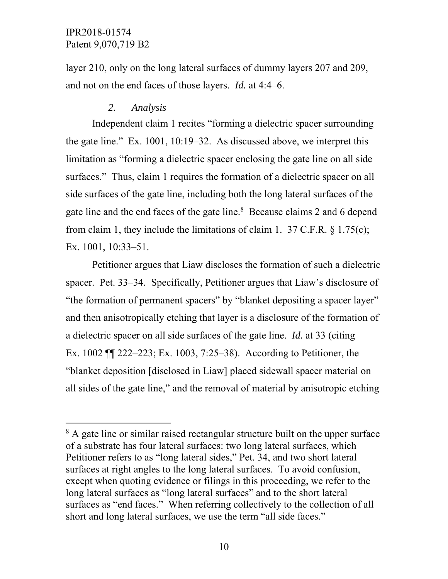l

layer 210, only on the long lateral surfaces of dummy layers 207 and 209, and not on the end faces of those layers. *Id.* at 4:4–6.

#### *2. Analysis*

Independent claim 1 recites "forming a dielectric spacer surrounding the gate line." Ex. 1001, 10:19–32. As discussed above, we interpret this limitation as "forming a dielectric spacer enclosing the gate line on all side surfaces." Thus, claim 1 requires the formation of a dielectric spacer on all side surfaces of the gate line, including both the long lateral surfaces of the gate line and the end faces of the gate line.<sup>8</sup> Because claims 2 and 6 depend from claim 1, they include the limitations of claim 1. 37 C.F.R. § 1.75(c); Ex. 1001, 10:33–51.

Petitioner argues that Liaw discloses the formation of such a dielectric spacer. Pet. 33–34. Specifically, Petitioner argues that Liaw's disclosure of "the formation of permanent spacers" by "blanket depositing a spacer layer" and then anisotropically etching that layer is a disclosure of the formation of a dielectric spacer on all side surfaces of the gate line. *Id.* at 33 (citing Ex. 1002 ¶¶ 222–223; Ex. 1003, 7:25–38). According to Petitioner, the "blanket deposition [disclosed in Liaw] placed sidewall spacer material on all sides of the gate line," and the removal of material by anisotropic etching

<sup>&</sup>lt;sup>8</sup> A gate line or similar raised rectangular structure built on the upper surface of a substrate has four lateral surfaces: two long lateral surfaces, which Petitioner refers to as "long lateral sides," Pet. 34, and two short lateral surfaces at right angles to the long lateral surfaces. To avoid confusion, except when quoting evidence or filings in this proceeding, we refer to the long lateral surfaces as "long lateral surfaces" and to the short lateral surfaces as "end faces." When referring collectively to the collection of all short and long lateral surfaces, we use the term "all side faces."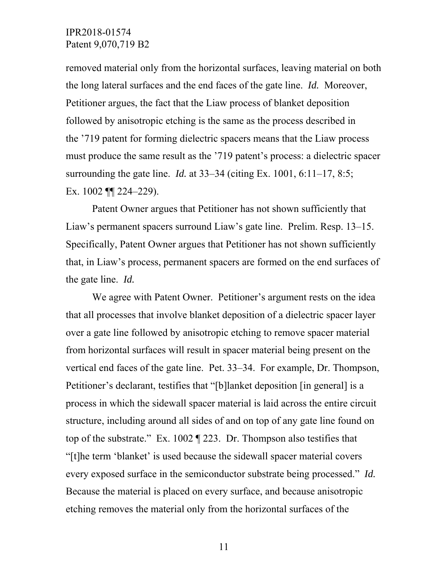removed material only from the horizontal surfaces, leaving material on both the long lateral surfaces and the end faces of the gate line. *Id.* Moreover, Petitioner argues, the fact that the Liaw process of blanket deposition followed by anisotropic etching is the same as the process described in the '719 patent for forming dielectric spacers means that the Liaw process must produce the same result as the '719 patent's process: a dielectric spacer surrounding the gate line. *Id.* at 33–34 (citing Ex. 1001, 6:11–17, 8:5; Ex. 1002 ¶¶ 224–229).

Patent Owner argues that Petitioner has not shown sufficiently that Liaw's permanent spacers surround Liaw's gate line. Prelim. Resp. 13–15. Specifically, Patent Owner argues that Petitioner has not shown sufficiently that, in Liaw's process, permanent spacers are formed on the end surfaces of the gate line. *Id.*

We agree with Patent Owner. Petitioner's argument rests on the idea that all processes that involve blanket deposition of a dielectric spacer layer over a gate line followed by anisotropic etching to remove spacer material from horizontal surfaces will result in spacer material being present on the vertical end faces of the gate line. Pet. 33–34. For example, Dr. Thompson, Petitioner's declarant, testifies that "[b]lanket deposition [in general] is a process in which the sidewall spacer material is laid across the entire circuit structure, including around all sides of and on top of any gate line found on top of the substrate." Ex. 1002 ¶ 223. Dr. Thompson also testifies that "[t]he term 'blanket' is used because the sidewall spacer material covers every exposed surface in the semiconductor substrate being processed." *Id.* Because the material is placed on every surface, and because anisotropic etching removes the material only from the horizontal surfaces of the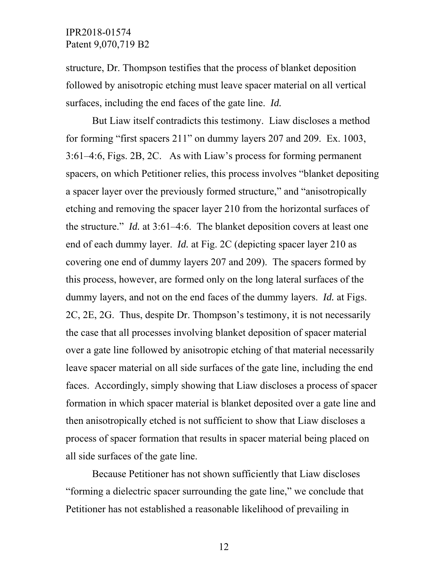structure, Dr. Thompson testifies that the process of blanket deposition followed by anisotropic etching must leave spacer material on all vertical surfaces, including the end faces of the gate line. *Id.*

But Liaw itself contradicts this testimony. Liaw discloses a method for forming "first spacers 211" on dummy layers 207 and 209. Ex. 1003, 3:61–4:6, Figs. 2B, 2C. As with Liaw's process for forming permanent spacers, on which Petitioner relies, this process involves "blanket depositing a spacer layer over the previously formed structure," and "anisotropically etching and removing the spacer layer 210 from the horizontal surfaces of the structure." *Id.* at 3:61–4:6. The blanket deposition covers at least one end of each dummy layer. *Id.* at Fig. 2C (depicting spacer layer 210 as covering one end of dummy layers 207 and 209). The spacers formed by this process, however, are formed only on the long lateral surfaces of the dummy layers, and not on the end faces of the dummy layers. *Id.* at Figs. 2C, 2E, 2G. Thus, despite Dr. Thompson's testimony, it is not necessarily the case that all processes involving blanket deposition of spacer material over a gate line followed by anisotropic etching of that material necessarily leave spacer material on all side surfaces of the gate line, including the end faces. Accordingly, simply showing that Liaw discloses a process of spacer formation in which spacer material is blanket deposited over a gate line and then anisotropically etched is not sufficient to show that Liaw discloses a process of spacer formation that results in spacer material being placed on all side surfaces of the gate line.

Because Petitioner has not shown sufficiently that Liaw discloses "forming a dielectric spacer surrounding the gate line," we conclude that Petitioner has not established a reasonable likelihood of prevailing in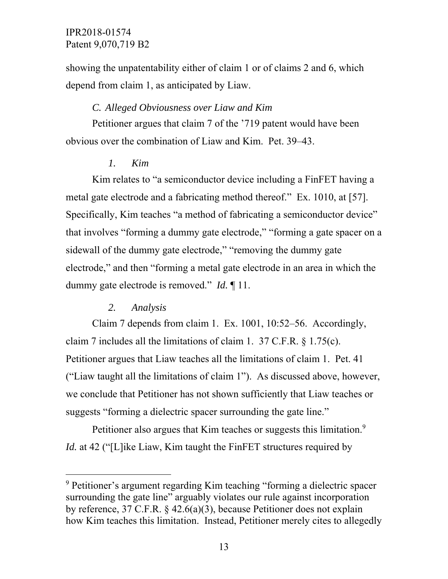showing the unpatentability either of claim 1 or of claims 2 and 6, which depend from claim 1, as anticipated by Liaw.

### *C. Alleged Obviousness over Liaw and Kim*

Petitioner argues that claim 7 of the '719 patent would have been obvious over the combination of Liaw and Kim. Pet. 39–43.

#### *1. Kim*

Kim relates to "a semiconductor device including a FinFET having a metal gate electrode and a fabricating method thereof." Ex. 1010, at [57]. Specifically, Kim teaches "a method of fabricating a semiconductor device" that involves "forming a dummy gate electrode," "forming a gate spacer on a sidewall of the dummy gate electrode," "removing the dummy gate electrode," and then "forming a metal gate electrode in an area in which the dummy gate electrode is removed." *Id.* ¶ 11.

#### *2. Analysis*

-

Claim 7 depends from claim 1. Ex. 1001, 10:52–56. Accordingly, claim 7 includes all the limitations of claim 1. 37 C.F.R. § 1.75(c). Petitioner argues that Liaw teaches all the limitations of claim 1. Pet. 41 ("Liaw taught all the limitations of claim 1"). As discussed above, however, we conclude that Petitioner has not shown sufficiently that Liaw teaches or suggests "forming a dielectric spacer surrounding the gate line."

Petitioner also argues that Kim teaches or suggests this limitation.<sup>9</sup> *Id.* at 42 ("[L]ike Liaw, Kim taught the FinFET structures required by

<sup>&</sup>lt;sup>9</sup> Petitioner's argument regarding Kim teaching "forming a dielectric spacer surrounding the gate line" arguably violates our rule against incorporation by reference, 37 C.F.R. § 42.6(a)(3), because Petitioner does not explain how Kim teaches this limitation. Instead, Petitioner merely cites to allegedly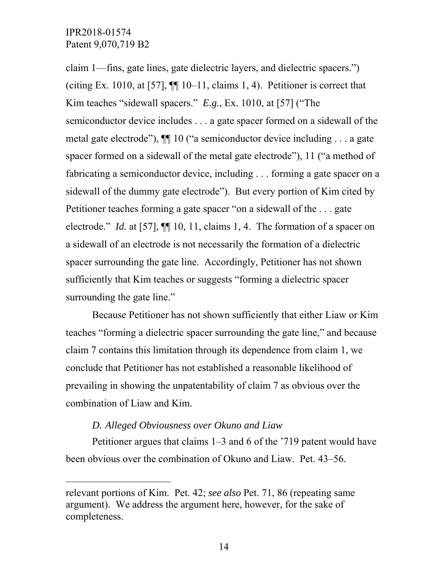-

claim 1—fins, gate lines, gate dielectric layers, and dielectric spacers.") (citing Ex. 1010, at [57],  $\P\P$  10–11, claims 1, 4). Petitioner is correct that Kim teaches "sidewall spacers." *E.g.*, Ex. 1010, at [57] ("The semiconductor device includes . . . a gate spacer formed on a sidewall of the metal gate electrode"), ¶¶ 10 ("a semiconductor device including . . . a gate spacer formed on a sidewall of the metal gate electrode"), 11 ("a method of fabricating a semiconductor device, including . . . forming a gate spacer on a sidewall of the dummy gate electrode"). But every portion of Kim cited by Petitioner teaches forming a gate spacer "on a sidewall of the . . . gate electrode." *Id.* at [57],  $\P\P$  10, 11, claims 1, 4. The formation of a spacer on a sidewall of an electrode is not necessarily the formation of a dielectric spacer surrounding the gate line. Accordingly, Petitioner has not shown sufficiently that Kim teaches or suggests "forming a dielectric spacer surrounding the gate line."

Because Petitioner has not shown sufficiently that either Liaw or Kim teaches "forming a dielectric spacer surrounding the gate line," and because claim 7 contains this limitation through its dependence from claim 1, we conclude that Petitioner has not established a reasonable likelihood of prevailing in showing the unpatentability of claim 7 as obvious over the combination of Liaw and Kim.

#### *D. Alleged Obviousness over Okuno and Liaw*

Petitioner argues that claims 1–3 and 6 of the '719 patent would have been obvious over the combination of Okuno and Liaw. Pet. 43–56.

relevant portions of Kim. Pet. 42; *see also* Pet. 71, 86 (repeating same argument). We address the argument here, however, for the sake of completeness.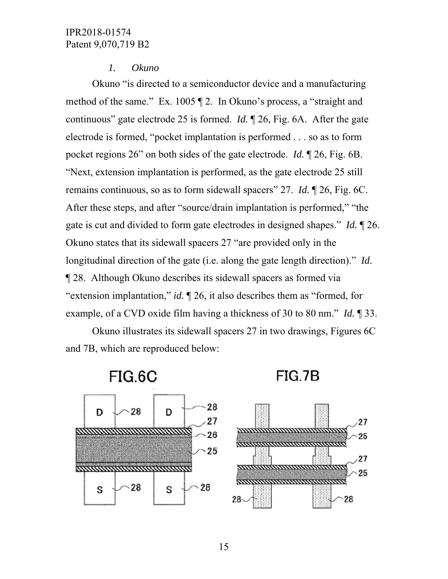#### *1. Okuno*

Okuno "is directed to a semiconductor device and a manufacturing method of the same." Ex. 1005 ¶ 2. In Okuno's process, a "straight and continuous" gate electrode 25 is formed. *Id.* ¶ 26, Fig. 6A. After the gate electrode is formed, "pocket implantation is performed . . . so as to form pocket regions 26" on both sides of the gate electrode. *Id.* ¶ 26, Fig. 6B. "Next, extension implantation is performed, as the gate electrode 25 still remains continuous, so as to form sidewall spacers" 27. *Id.* ¶ 26, Fig. 6C. After these steps, and after "source/drain implantation is performed," "the gate is cut and divided to form gate electrodes in designed shapes." *Id.* ¶ 26. Okuno states that its sidewall spacers 27 "are provided only in the longitudinal direction of the gate (i.e. along the gate length direction)." *Id.* ¶ 28. Although Okuno describes its sidewall spacers as formed via "extension implantation," *id.* ¶ 26, it also describes them as "formed, for example, of a CVD oxide film having a thickness of 30 to 80 nm." *Id.* ¶ 33.

Okuno illustrates its sidewall spacers 27 in two drawings, Figures 6C and 7B, which are reproduced below:

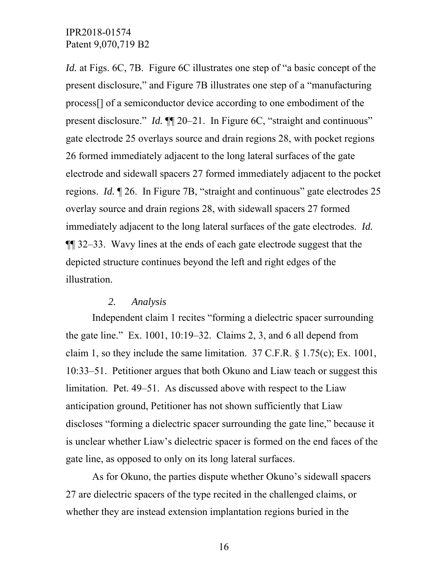*Id.* at Figs. 6C, 7B. Figure 6C illustrates one step of "a basic concept of the present disclosure," and Figure 7B illustrates one step of a "manufacturing process[] of a semiconductor device according to one embodiment of the present disclosure." *Id.* ¶¶ 20–21. In Figure 6C, "straight and continuous" gate electrode 25 overlays source and drain regions 28, with pocket regions 26 formed immediately adjacent to the long lateral surfaces of the gate electrode and sidewall spacers 27 formed immediately adjacent to the pocket regions. *Id.* ¶ 26. In Figure 7B, "straight and continuous" gate electrodes 25 overlay source and drain regions 28, with sidewall spacers 27 formed immediately adjacent to the long lateral surfaces of the gate electrodes. *Id.* ¶¶ 32–33. Wavy lines at the ends of each gate electrode suggest that the depicted structure continues beyond the left and right edges of the illustration.

#### *2. Analysis*

Independent claim 1 recites "forming a dielectric spacer surrounding the gate line." Ex. 1001, 10:19–32. Claims 2, 3, and 6 all depend from claim 1, so they include the same limitation. 37 C.F.R. § 1.75(c); Ex. 1001, 10:33–51. Petitioner argues that both Okuno and Liaw teach or suggest this limitation. Pet. 49–51. As discussed above with respect to the Liaw anticipation ground, Petitioner has not shown sufficiently that Liaw discloses "forming a dielectric spacer surrounding the gate line," because it is unclear whether Liaw's dielectric spacer is formed on the end faces of the gate line, as opposed to only on its long lateral surfaces.

As for Okuno, the parties dispute whether Okuno's sidewall spacers 27 are dielectric spacers of the type recited in the challenged claims, or whether they are instead extension implantation regions buried in the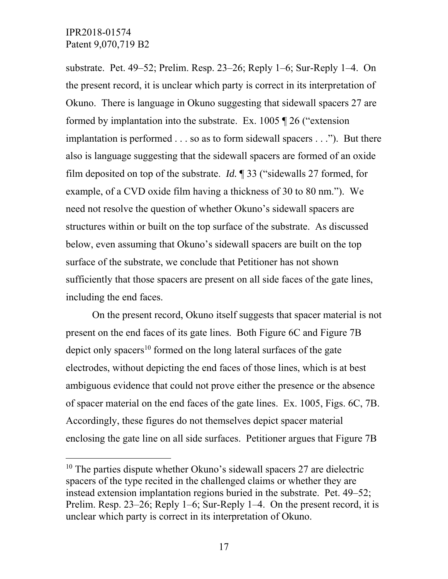$\overline{a}$ 

substrate. Pet. 49–52; Prelim. Resp. 23–26; Reply 1–6; Sur-Reply 1–4. On the present record, it is unclear which party is correct in its interpretation of Okuno. There is language in Okuno suggesting that sidewall spacers 27 are formed by implantation into the substrate. Ex. 1005 ¶ 26 ("extension implantation is performed . . . so as to form sidewall spacers . . ."). But there also is language suggesting that the sidewall spacers are formed of an oxide film deposited on top of the substrate. *Id.* ¶ 33 ("sidewalls 27 formed, for example, of a CVD oxide film having a thickness of 30 to 80 nm."). We need not resolve the question of whether Okuno's sidewall spacers are structures within or built on the top surface of the substrate. As discussed below, even assuming that Okuno's sidewall spacers are built on the top surface of the substrate, we conclude that Petitioner has not shown sufficiently that those spacers are present on all side faces of the gate lines, including the end faces.

On the present record, Okuno itself suggests that spacer material is not present on the end faces of its gate lines. Both Figure 6C and Figure 7B depict only spacers<sup>10</sup> formed on the long lateral surfaces of the gate electrodes, without depicting the end faces of those lines, which is at best ambiguous evidence that could not prove either the presence or the absence of spacer material on the end faces of the gate lines. Ex. 1005, Figs. 6C, 7B. Accordingly, these figures do not themselves depict spacer material enclosing the gate line on all side surfaces. Petitioner argues that Figure 7B

 $10$  The parties dispute whether Okuno's sidewall spacers 27 are dielectric spacers of the type recited in the challenged claims or whether they are instead extension implantation regions buried in the substrate. Pet. 49–52; Prelim. Resp. 23–26; Reply 1–6; Sur-Reply 1–4. On the present record, it is unclear which party is correct in its interpretation of Okuno.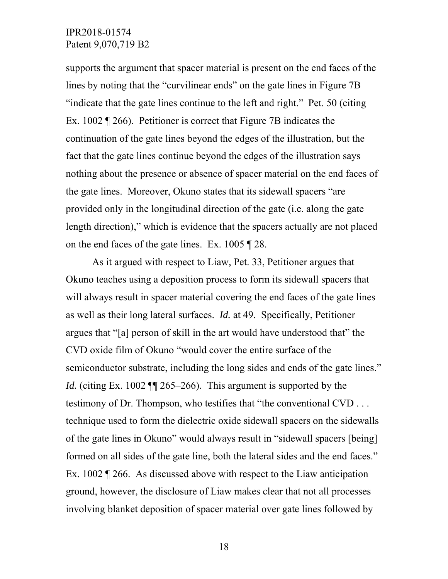supports the argument that spacer material is present on the end faces of the lines by noting that the "curvilinear ends" on the gate lines in Figure 7B "indicate that the gate lines continue to the left and right." Pet. 50 (citing Ex. 1002 ¶ 266). Petitioner is correct that Figure 7B indicates the continuation of the gate lines beyond the edges of the illustration, but the fact that the gate lines continue beyond the edges of the illustration says nothing about the presence or absence of spacer material on the end faces of the gate lines. Moreover, Okuno states that its sidewall spacers "are provided only in the longitudinal direction of the gate (i.e. along the gate length direction)," which is evidence that the spacers actually are not placed on the end faces of the gate lines. Ex. 1005 ¶ 28.

As it argued with respect to Liaw, Pet. 33, Petitioner argues that Okuno teaches using a deposition process to form its sidewall spacers that will always result in spacer material covering the end faces of the gate lines as well as their long lateral surfaces. *Id.* at 49. Specifically, Petitioner argues that "[a] person of skill in the art would have understood that" the CVD oxide film of Okuno "would cover the entire surface of the semiconductor substrate, including the long sides and ends of the gate lines." *Id.* (citing Ex. 1002  $\P$  265–266). This argument is supported by the testimony of Dr. Thompson, who testifies that "the conventional CVD . . . technique used to form the dielectric oxide sidewall spacers on the sidewalls of the gate lines in Okuno" would always result in "sidewall spacers [being] formed on all sides of the gate line, both the lateral sides and the end faces." Ex. 1002 ¶ 266. As discussed above with respect to the Liaw anticipation ground, however, the disclosure of Liaw makes clear that not all processes involving blanket deposition of spacer material over gate lines followed by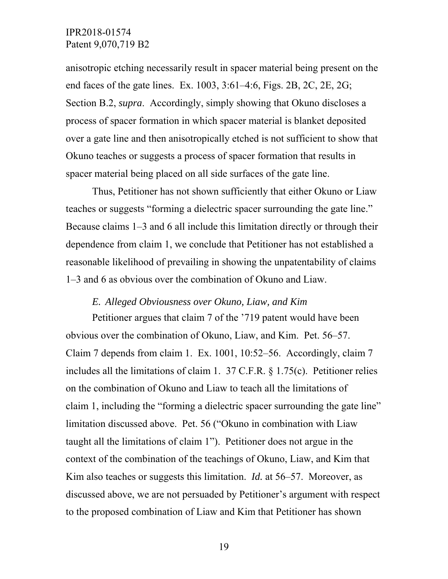anisotropic etching necessarily result in spacer material being present on the end faces of the gate lines. Ex. 1003, 3:61–4:6, Figs. 2B, 2C, 2E, 2G; Section B.2, *supra*. Accordingly, simply showing that Okuno discloses a process of spacer formation in which spacer material is blanket deposited over a gate line and then anisotropically etched is not sufficient to show that Okuno teaches or suggests a process of spacer formation that results in spacer material being placed on all side surfaces of the gate line.

Thus, Petitioner has not shown sufficiently that either Okuno or Liaw teaches or suggests "forming a dielectric spacer surrounding the gate line." Because claims 1–3 and 6 all include this limitation directly or through their dependence from claim 1, we conclude that Petitioner has not established a reasonable likelihood of prevailing in showing the unpatentability of claims 1–3 and 6 as obvious over the combination of Okuno and Liaw.

#### *E. Alleged Obviousness over Okuno, Liaw, and Kim*

Petitioner argues that claim 7 of the '719 patent would have been obvious over the combination of Okuno, Liaw, and Kim. Pet. 56–57. Claim 7 depends from claim 1. Ex. 1001, 10:52–56. Accordingly, claim 7 includes all the limitations of claim 1. 37 C.F.R. § 1.75(c). Petitioner relies on the combination of Okuno and Liaw to teach all the limitations of claim 1, including the "forming a dielectric spacer surrounding the gate line" limitation discussed above. Pet. 56 ("Okuno in combination with Liaw taught all the limitations of claim 1"). Petitioner does not argue in the context of the combination of the teachings of Okuno, Liaw, and Kim that Kim also teaches or suggests this limitation. *Id.* at 56–57. Moreover, as discussed above, we are not persuaded by Petitioner's argument with respect to the proposed combination of Liaw and Kim that Petitioner has shown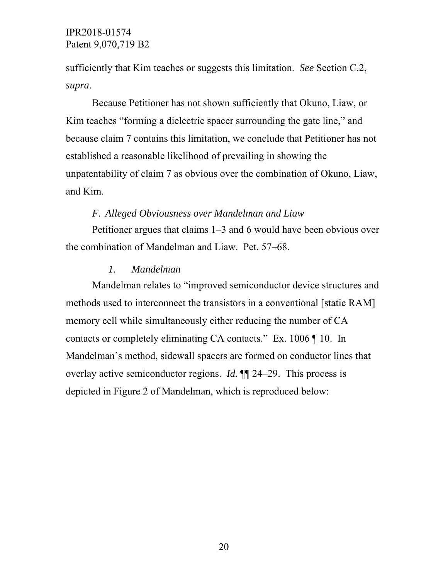sufficiently that Kim teaches or suggests this limitation. *See* Section C.2, *supra*.

Because Petitioner has not shown sufficiently that Okuno, Liaw, or Kim teaches "forming a dielectric spacer surrounding the gate line," and because claim 7 contains this limitation, we conclude that Petitioner has not established a reasonable likelihood of prevailing in showing the unpatentability of claim 7 as obvious over the combination of Okuno, Liaw, and Kim.

#### *F. Alleged Obviousness over Mandelman and Liaw*

Petitioner argues that claims 1–3 and 6 would have been obvious over the combination of Mandelman and Liaw. Pet. 57–68.

#### *1. Mandelman*

Mandelman relates to "improved semiconductor device structures and methods used to interconnect the transistors in a conventional [static RAM] memory cell while simultaneously either reducing the number of CA contacts or completely eliminating CA contacts." Ex. 1006 ¶ 10. In Mandelman's method, sidewall spacers are formed on conductor lines that overlay active semiconductor regions. *Id.* ¶¶ 24–29. This process is depicted in Figure 2 of Mandelman, which is reproduced below: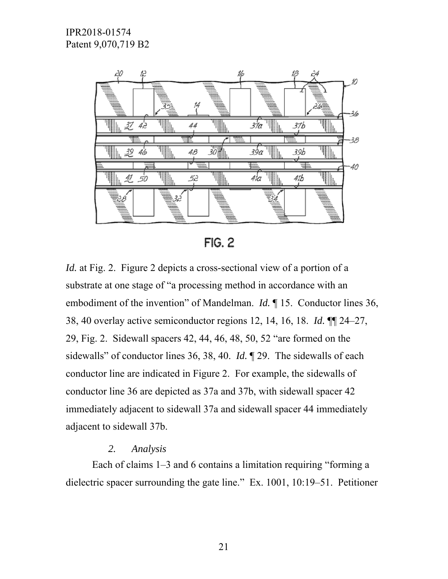

**FIG. 2** 

*Id.* at Fig. 2. Figure 2 depicts a cross-sectional view of a portion of a substrate at one stage of "a processing method in accordance with an embodiment of the invention" of Mandelman. *Id.* 15. Conductor lines 36, 38, 40 overlay active semiconductor regions 12, 14, 16, 18. *Id.* ¶¶ 24–27, 29, Fig. 2. Sidewall spacers 42, 44, 46, 48, 50, 52 "are formed on the sidewalls" of conductor lines 36, 38, 40. *Id.* ¶ 29. The sidewalls of each conductor line are indicated in Figure 2. For example, the sidewalls of conductor line 36 are depicted as 37a and 37b, with sidewall spacer 42 immediately adjacent to sidewall 37a and sidewall spacer 44 immediately adjacent to sidewall 37b.

## *2. Analysis*

Each of claims 1–3 and 6 contains a limitation requiring "forming a dielectric spacer surrounding the gate line." Ex. 1001, 10:19–51. Petitioner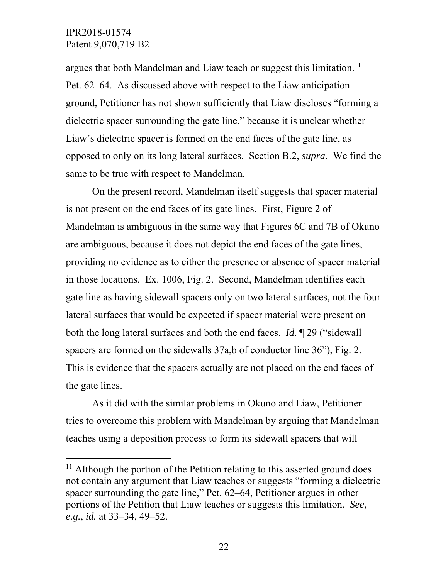$\overline{a}$ 

argues that both Mandelman and Liaw teach or suggest this limitation.<sup>11</sup> Pet. 62–64. As discussed above with respect to the Liaw anticipation ground, Petitioner has not shown sufficiently that Liaw discloses "forming a dielectric spacer surrounding the gate line," because it is unclear whether Liaw's dielectric spacer is formed on the end faces of the gate line, as opposed to only on its long lateral surfaces. Section B.2, *supra*. We find the same to be true with respect to Mandelman.

On the present record, Mandelman itself suggests that spacer material is not present on the end faces of its gate lines. First, Figure 2 of Mandelman is ambiguous in the same way that Figures 6C and 7B of Okuno are ambiguous, because it does not depict the end faces of the gate lines, providing no evidence as to either the presence or absence of spacer material in those locations. Ex. 1006, Fig. 2. Second, Mandelman identifies each gate line as having sidewall spacers only on two lateral surfaces, not the four lateral surfaces that would be expected if spacer material were present on both the long lateral surfaces and both the end faces. *Id.* ¶ 29 ("sidewall spacers are formed on the sidewalls 37a,b of conductor line 36", Fig. 2. This is evidence that the spacers actually are not placed on the end faces of the gate lines.

As it did with the similar problems in Okuno and Liaw, Petitioner tries to overcome this problem with Mandelman by arguing that Mandelman teaches using a deposition process to form its sidewall spacers that will

 $11$  Although the portion of the Petition relating to this asserted ground does not contain any argument that Liaw teaches or suggests "forming a dielectric spacer surrounding the gate line," Pet. 62–64, Petitioner argues in other portions of the Petition that Liaw teaches or suggests this limitation. *See, e.g.*, *id.* at 33–34, 49–52.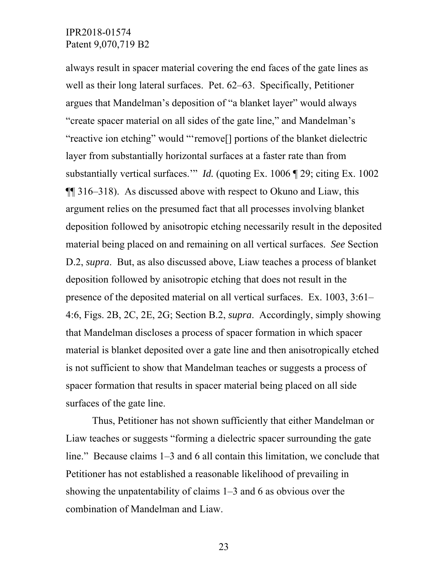always result in spacer material covering the end faces of the gate lines as well as their long lateral surfaces. Pet. 62–63. Specifically, Petitioner argues that Mandelman's deposition of "a blanket layer" would always "create spacer material on all sides of the gate line," and Mandelman's "reactive ion etching" would "'remove[] portions of the blanket dielectric layer from substantially horizontal surfaces at a faster rate than from substantially vertical surfaces." *Id.* (quoting Ex. 1006 ¶ 29; citing Ex. 1002 ¶¶ 316–318). As discussed above with respect to Okuno and Liaw, this argument relies on the presumed fact that all processes involving blanket deposition followed by anisotropic etching necessarily result in the deposited material being placed on and remaining on all vertical surfaces. *See* Section D.2, *supra*. But, as also discussed above, Liaw teaches a process of blanket deposition followed by anisotropic etching that does not result in the presence of the deposited material on all vertical surfaces. Ex. 1003, 3:61– 4:6, Figs. 2B, 2C, 2E, 2G; Section B.2, *supra*. Accordingly, simply showing that Mandelman discloses a process of spacer formation in which spacer material is blanket deposited over a gate line and then anisotropically etched is not sufficient to show that Mandelman teaches or suggests a process of spacer formation that results in spacer material being placed on all side surfaces of the gate line.

Thus, Petitioner has not shown sufficiently that either Mandelman or Liaw teaches or suggests "forming a dielectric spacer surrounding the gate line." Because claims 1–3 and 6 all contain this limitation, we conclude that Petitioner has not established a reasonable likelihood of prevailing in showing the unpatentability of claims 1–3 and 6 as obvious over the combination of Mandelman and Liaw.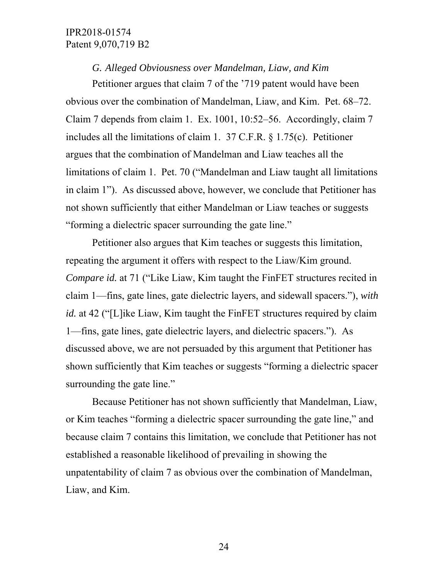*G. Alleged Obviousness over Mandelman, Liaw, and Kim* 

Petitioner argues that claim 7 of the '719 patent would have been obvious over the combination of Mandelman, Liaw, and Kim. Pet. 68–72. Claim 7 depends from claim 1. Ex. 1001, 10:52–56. Accordingly, claim 7 includes all the limitations of claim 1. 37 C.F.R. § 1.75(c). Petitioner argues that the combination of Mandelman and Liaw teaches all the limitations of claim 1. Pet. 70 ("Mandelman and Liaw taught all limitations in claim 1"). As discussed above, however, we conclude that Petitioner has not shown sufficiently that either Mandelman or Liaw teaches or suggests "forming a dielectric spacer surrounding the gate line."

Petitioner also argues that Kim teaches or suggests this limitation, repeating the argument it offers with respect to the Liaw/Kim ground. *Compare id.* at 71 ("Like Liaw, Kim taught the FinFET structures recited in claim 1—fins, gate lines, gate dielectric layers, and sidewall spacers."), *with id.* at 42 ("[L]ike Liaw, Kim taught the FinFET structures required by claim 1—fins, gate lines, gate dielectric layers, and dielectric spacers."). As discussed above, we are not persuaded by this argument that Petitioner has shown sufficiently that Kim teaches or suggests "forming a dielectric spacer surrounding the gate line."

Because Petitioner has not shown sufficiently that Mandelman, Liaw, or Kim teaches "forming a dielectric spacer surrounding the gate line," and because claim 7 contains this limitation, we conclude that Petitioner has not established a reasonable likelihood of prevailing in showing the unpatentability of claim 7 as obvious over the combination of Mandelman, Liaw, and Kim.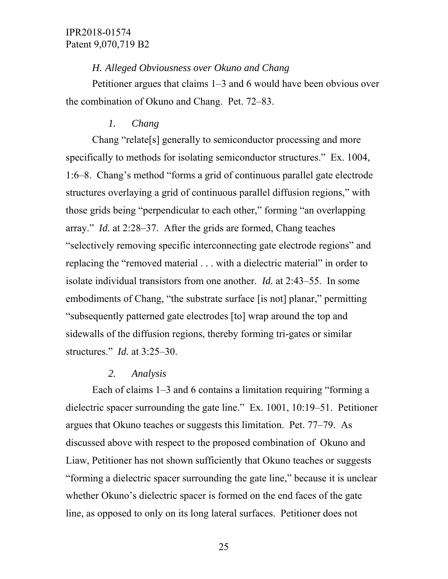#### *H. Alleged Obviousness over Okuno and Chang*

Petitioner argues that claims 1–3 and 6 would have been obvious over the combination of Okuno and Chang. Pet. 72–83.

#### *1. Chang*

Chang "relate[s] generally to semiconductor processing and more specifically to methods for isolating semiconductor structures." Ex. 1004, 1:6–8. Chang's method "forms a grid of continuous parallel gate electrode structures overlaying a grid of continuous parallel diffusion regions," with those grids being "perpendicular to each other," forming "an overlapping array." *Id.* at 2:28–37. After the grids are formed, Chang teaches "selectively removing specific interconnecting gate electrode regions" and replacing the "removed material . . . with a dielectric material" in order to isolate individual transistors from one another. *Id.* at 2:43–55. In some embodiments of Chang, "the substrate surface [is not] planar," permitting "subsequently patterned gate electrodes [to] wrap around the top and sidewalls of the diffusion regions, thereby forming tri-gates or similar structures." *Id.* at 3:25–30.

#### *2. Analysis*

Each of claims 1–3 and 6 contains a limitation requiring "forming a dielectric spacer surrounding the gate line." Ex. 1001, 10:19–51. Petitioner argues that Okuno teaches or suggests this limitation. Pet. 77–79. As discussed above with respect to the proposed combination of Okuno and Liaw, Petitioner has not shown sufficiently that Okuno teaches or suggests "forming a dielectric spacer surrounding the gate line," because it is unclear whether Okuno's dielectric spacer is formed on the end faces of the gate line, as opposed to only on its long lateral surfaces. Petitioner does not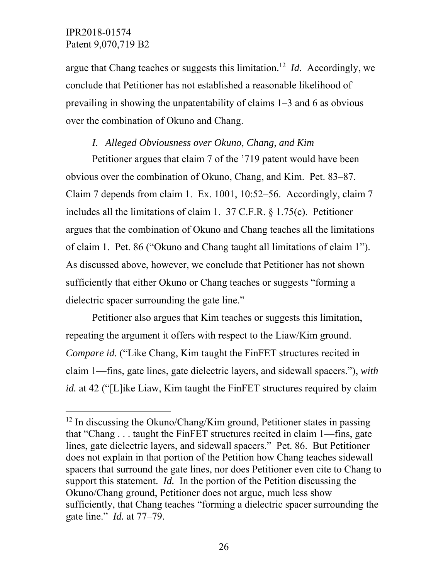$\overline{a}$ 

argue that Chang teaches or suggests this limitation.12 *Id.* Accordingly, we conclude that Petitioner has not established a reasonable likelihood of prevailing in showing the unpatentability of claims 1–3 and 6 as obvious over the combination of Okuno and Chang.

#### *I. Alleged Obviousness over Okuno, Chang, and Kim*

Petitioner argues that claim 7 of the '719 patent would have been obvious over the combination of Okuno, Chang, and Kim. Pet. 83–87. Claim 7 depends from claim 1. Ex. 1001, 10:52–56. Accordingly, claim 7 includes all the limitations of claim 1. 37 C.F.R. § 1.75(c). Petitioner argues that the combination of Okuno and Chang teaches all the limitations of claim 1. Pet. 86 ("Okuno and Chang taught all limitations of claim 1"). As discussed above, however, we conclude that Petitioner has not shown sufficiently that either Okuno or Chang teaches or suggests "forming a dielectric spacer surrounding the gate line."

Petitioner also argues that Kim teaches or suggests this limitation, repeating the argument it offers with respect to the Liaw/Kim ground. *Compare id.* ("Like Chang, Kim taught the FinFET structures recited in claim 1—fins, gate lines, gate dielectric layers, and sidewall spacers."), *with id.* at 42 ("[L]ike Liaw, Kim taught the FinFET structures required by claim

 $12$  In discussing the Okuno/Chang/Kim ground, Petitioner states in passing that "Chang . . . taught the FinFET structures recited in claim 1—fins, gate lines, gate dielectric layers, and sidewall spacers." Pet. 86. But Petitioner does not explain in that portion of the Petition how Chang teaches sidewall spacers that surround the gate lines, nor does Petitioner even cite to Chang to support this statement. *Id.* In the portion of the Petition discussing the Okuno/Chang ground, Petitioner does not argue, much less show sufficiently, that Chang teaches "forming a dielectric spacer surrounding the gate line." *Id.* at 77–79.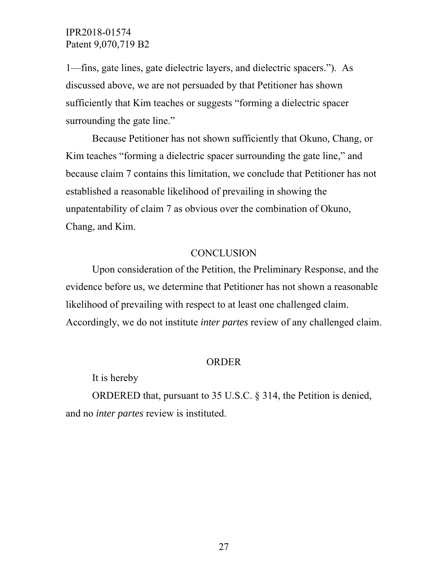1—fins, gate lines, gate dielectric layers, and dielectric spacers."). As discussed above, we are not persuaded by that Petitioner has shown sufficiently that Kim teaches or suggests "forming a dielectric spacer surrounding the gate line."

Because Petitioner has not shown sufficiently that Okuno, Chang, or Kim teaches "forming a dielectric spacer surrounding the gate line," and because claim 7 contains this limitation, we conclude that Petitioner has not established a reasonable likelihood of prevailing in showing the unpatentability of claim 7 as obvious over the combination of Okuno, Chang, and Kim.

# **CONCLUSION**

Upon consideration of the Petition, the Preliminary Response, and the evidence before us, we determine that Petitioner has not shown a reasonable likelihood of prevailing with respect to at least one challenged claim. Accordingly, we do not institute *inter partes* review of any challenged claim.

#### ORDER

It is hereby

ORDERED that, pursuant to 35 U.S.C. § 314, the Petition is denied, and no *inter partes* review is instituted.